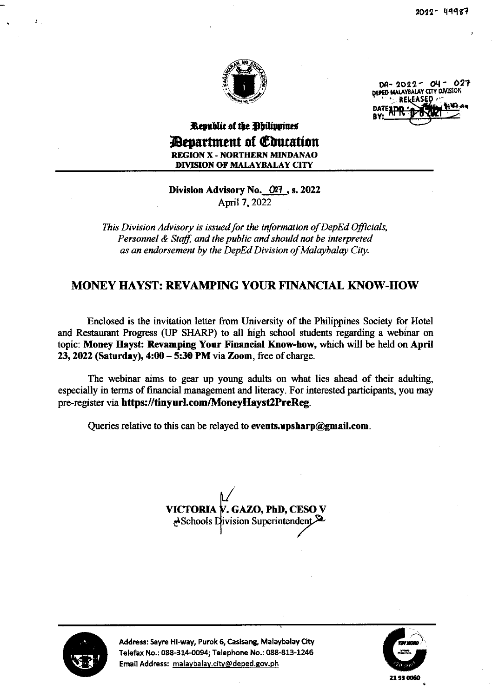

 $DA - 2022 - 04 - 027$ DEPED MALAYBALAY CITY DIVISIOI DATELIOR PARTIES

## Republic of the Philippines *Department of Education* REGION X - NORTHERN MINDANAO DIVISION OF MALAYBALAY CITY

Division Advisory No. 027, s. 2022 April 7, 2022

This Division Advisory is issued for the information of DepEd Officials, Personnel & Staff, and the public and should not be interpreted as an endorsement by the DepEd Division of Malaybalay City.

## MONEY HAYST: REVAMPING YOUR FINANCIAL KNOW-HOW

Enclosed is the invitation letter from University of the Philippines Society for Hotel and Restaumnt Progress (JP SHARP) to all high school students regarding a webinar on topic: Money Eayst: Revamping Your Financial Know-how, which will be held on April  $23,2022$  (Saturday),  $4:00-5:30$  PM via Zoom, free of charge.

The webinar aims to gear up young adults on what lies alead of their adulting, especially in terrns of financial management and literacy. For interested participants, you may pre-register via https://tinyurLcom/MoneyHayst2PrcReg.

Queries relative to this can be relayed to events.upsharp@gmail.com.

VICTORIA V. GAZO, PhD, CESO V deSchools Division Superintendent



Address: Sayre Hi-way, Purok 6, Casisang, Malaybalay City Telefax No.: 088-314-0094; Telephone No.: 088-813-1246 Email Address: malavbalav.ciw@deped.gov.ph